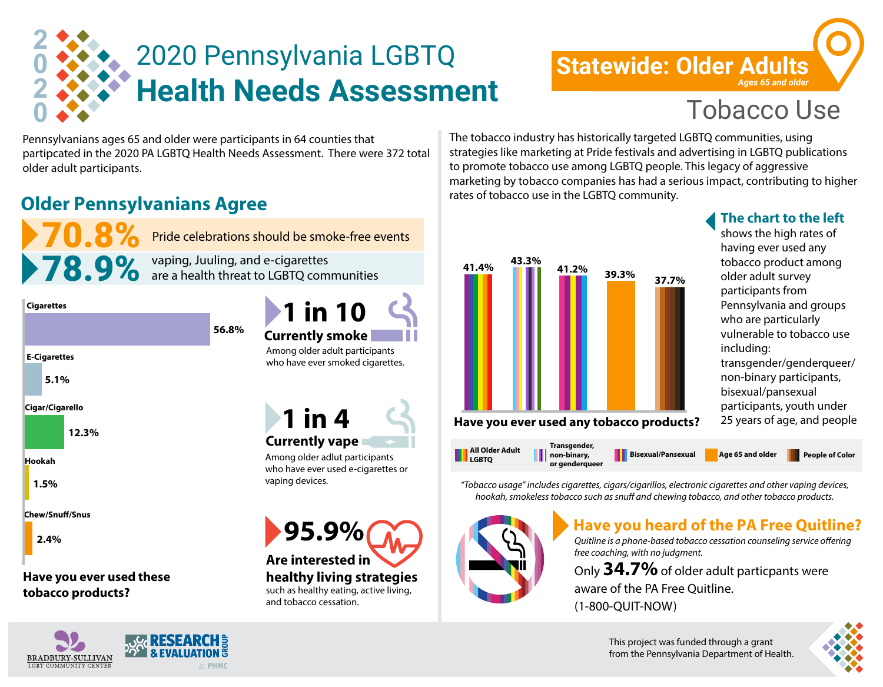

# **Statewide: Older Adults** *Ages 65 and older*

Pennsylvanians ages 65 and older were participants in 64 counties that partipcated in the 2020 PA LGBTQ Health Needs Assessment. There were 372 total older adult participants.

## **Older Pennsylvanians Agree**



**Cigarettes**

**5.1% 1.5% 12.3% E-Cigarettes Cigar/Cigarello Hookah**

**Chew/Snu/Snus**

**2.4%**

**Have you ever used these tobacco products?**



**1 in 10** 

who have ever used e-cigarettes or vaping devices.

**95.9% Are interested in healthy living strategies**  such as healthy eating, active living, and tobacco cessation.

The tobacco industry has historically targeted LGBTQ communities, using strategies like marketing at Pride festivals and advertising in LGBTQ publications to promote tobacco use among LGBTQ people. This legacy of aggressive marketing by tobacco companies has had a serious impact, contributing to higher rates of tobacco use in the LGBTQ community.



### **The chart to the left**

shows the high rates of having ever used any tobacco product among older adult survey participants from Pennsylvania and groups who are particularly vulnerable to tobacco use including: transgender/genderqueer/ non-binary participants, bisexual/pansexual participants, youth under 25 years of age, and people



*"Tobacco usage" includes cigarettes, cigars/cigarillos, electronic cigarettes and other vaping devices, hookah, smokeless tobacco such as snuff and chewing tobacco, and other tobacco products.* 



## **Have you heard of the PA Free Quitline?**

**Quitline is a phone-based tobacco cessation counseling service offering** *free coaching, with no judgment.* 

Only **34.7%** of older adult particpants were aware of the PA Free Quitline. (1-800-QUIT-NOW)